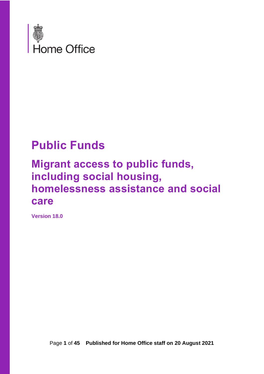

## **Public Funds**

### **Migrant access to public funds, including social housing, homelessness assistance and social care**

**Version 18.0**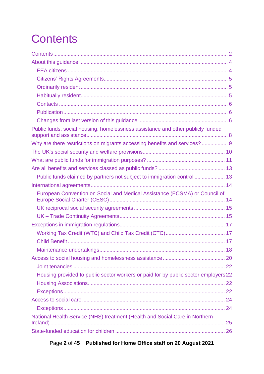# <span id="page-1-0"></span>**Contents**

| Public funds, social housing, homelessness assistance and other publicly funded<br>Why are there restrictions on migrants accessing benefits and services?  9<br>Public funds claimed by partners not subject to immigration control  13<br>European Convention on Social and Medical Assistance (ECSMA) or Council of |
|------------------------------------------------------------------------------------------------------------------------------------------------------------------------------------------------------------------------------------------------------------------------------------------------------------------------|
|                                                                                                                                                                                                                                                                                                                        |
|                                                                                                                                                                                                                                                                                                                        |
|                                                                                                                                                                                                                                                                                                                        |
|                                                                                                                                                                                                                                                                                                                        |
|                                                                                                                                                                                                                                                                                                                        |
|                                                                                                                                                                                                                                                                                                                        |
|                                                                                                                                                                                                                                                                                                                        |
|                                                                                                                                                                                                                                                                                                                        |
|                                                                                                                                                                                                                                                                                                                        |
|                                                                                                                                                                                                                                                                                                                        |
|                                                                                                                                                                                                                                                                                                                        |
|                                                                                                                                                                                                                                                                                                                        |
|                                                                                                                                                                                                                                                                                                                        |
|                                                                                                                                                                                                                                                                                                                        |
|                                                                                                                                                                                                                                                                                                                        |
|                                                                                                                                                                                                                                                                                                                        |
|                                                                                                                                                                                                                                                                                                                        |
|                                                                                                                                                                                                                                                                                                                        |
|                                                                                                                                                                                                                                                                                                                        |
|                                                                                                                                                                                                                                                                                                                        |
|                                                                                                                                                                                                                                                                                                                        |
|                                                                                                                                                                                                                                                                                                                        |
|                                                                                                                                                                                                                                                                                                                        |
|                                                                                                                                                                                                                                                                                                                        |
| Housing provided to public sector workers or paid for by public sector employers 22                                                                                                                                                                                                                                    |
|                                                                                                                                                                                                                                                                                                                        |
|                                                                                                                                                                                                                                                                                                                        |
|                                                                                                                                                                                                                                                                                                                        |
|                                                                                                                                                                                                                                                                                                                        |
| National Health Service (NHS) treatment (Health and Social Care in Northern                                                                                                                                                                                                                                            |
|                                                                                                                                                                                                                                                                                                                        |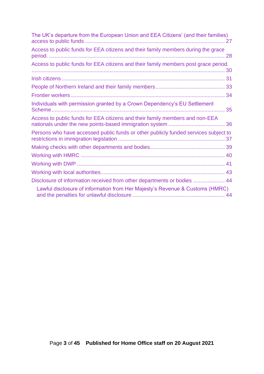| The UK's departure from the European Union and EEA Citizens' (and their families)<br>27 |  |
|-----------------------------------------------------------------------------------------|--|
| Access to public funds for EEA citizens and their family members during the grace       |  |
| Access to public funds for EEA citizens and their family members post grace period.     |  |
|                                                                                         |  |
|                                                                                         |  |
|                                                                                         |  |
| Individuals with permission granted by a Crown Dependency's EU Settlement<br>35         |  |
| Access to public funds for EEA citizens and their family members and non-EEA            |  |
| Persons who have accessed public funds or other publicly funded services subject to     |  |
|                                                                                         |  |
|                                                                                         |  |
|                                                                                         |  |
|                                                                                         |  |
| Disclosure of information received from other departments or bodies  44                 |  |
| Lawful disclosure of information from Her Majesty's Revenue & Customs (HMRC)            |  |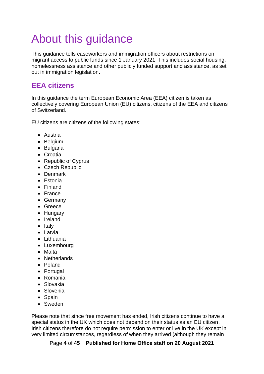# <span id="page-3-0"></span>About this guidance

This guidance tells caseworkers and immigration officers about restrictions on migrant access to public funds since 1 January 2021. This includes social housing, homelessness assistance and other publicly funded support and assistance, as set out in immigration legislation.

### <span id="page-3-1"></span>**EEA citizens**

In this guidance the term European Economic Area (EEA) citizen is taken as collectively covering European Union (EU) citizens, citizens of the EEA and citizens of Switzerland.

EU citizens are citizens of the following states:

- Austria
- Belgium
- Bulgaria
- Croatia
- Republic of Cyprus
- Czech Republic
- Denmark
- Estonia
- Finland
- France
- Germany
- Greece
- Hungary
- Ireland
- Italy
- Latvia
- Lithuania
- Luxembourg
- Malta
- Netherlands
- Poland
- Portugal
- Romania
- Slovakia
- Slovenia
- Spain
- Sweden

Please note that since free movement has ended, Irish citizens continue to have a special status in the UK which does not depend on their status as an EU citizen. Irish citizens therefore do not require permission to enter or live in the UK except in very limited circumstances, regardless of when they arrived (although they remain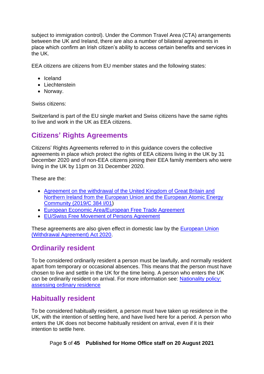subject to immigration control). Under the Common Travel Area (CTA) arrangements between the UK and Ireland, there are also a number of bilateral agreements in place which confirm an Irish citizen's ability to access certain benefits and services in the UK.

EEA citizens are citizens from EU member states and the following states:

- Iceland
- Liechtenstein
- Norway.

Swiss citizens:

Switzerland is part of the EU single market and Swiss citizens have the same rights to live and work in the UK as EEA citizens.

### <span id="page-4-0"></span>**Citizens' Rights Agreements**

Citizens' Rights Agreements referred to in this guidance covers the collective agreements in place which protect the rights of EEA citizens living in the UK by 31 December 2020 and of non-EEA citizens joining their EEA family members who were living in the UK by 11pm on 31 December 2020.

These are the:

- [Agreement on the withdrawal of the United Kingdom of Great Britain and](https://www.legislation.gov.uk/eut/withdrawal-agreement/contents/adopted)  [Northern Ireland from the European Union and the European Atomic Energy](https://www.legislation.gov.uk/eut/withdrawal-agreement/contents/adopted)  [Community \(2019/C 384 I/01\)](https://www.legislation.gov.uk/eut/withdrawal-agreement/contents/adopted)
- [European Economic Area/European Free Trade Agreement](https://www.gov.uk/government/publications/eea-efta-separation-agreement-and-explainer)
- [EU/Swiss Free Movement of Persons Agreement](https://www.gov.uk/government/publications/swiss-citizens-rights-agreement-and-explainer)

These agreements are also given effect in domestic law by the [European Union](https://www.legislation.gov.uk/ukpga/2020/1/contents/enacted)  [\(Withdrawal Agreement\) Act 2020.](https://www.legislation.gov.uk/ukpga/2020/1/contents/enacted)

### <span id="page-4-1"></span>**Ordinarily resident**

To be considered ordinarily resident a person must be lawfully, and normally resident apart from temporary or occasional absences. This means that the person must have chosen to live and settle in the UK for the time being. A person who enters the UK can be ordinarily resident on arrival. For more information see: [Nationality policy:](https://assets.publishing.service.gov.uk/government/uploads/system/uploads/attachment_data/file/655489/Nationality-policy-assessing-ordinary-residence-v2.0EXT.pdf)  [assessing ordinary residence](https://assets.publishing.service.gov.uk/government/uploads/system/uploads/attachment_data/file/655489/Nationality-policy-assessing-ordinary-residence-v2.0EXT.pdf)

### <span id="page-4-2"></span>**Habitually resident**

To be considered habitually resident, a person must have taken up residence in the UK, with the intention of settling here, and have lived here for a period. A person who enters the UK does not become habitually resident on arrival, even if it is their intention to settle here.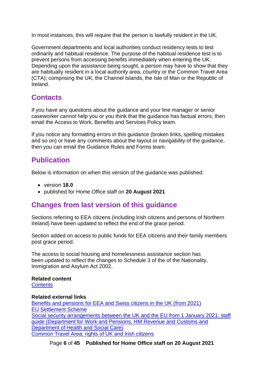In most instances, this will require that the person is lawfully resident in the UK.

Government departments and local authorities conduct residency tests to test ordinarily and habitual residence. The purpose of the habitual residence test is to prevent persons from accessing benefits immediately when entering the UK. Depending upon the assistance being sought, a person may have to show that they are habitually resident in a local authority area, country or the Common Travel Area (CTA); comprising the UK, the Channel Islands, the Isle of Man or the Republic of Ireland.

### <span id="page-5-0"></span>**Contacts**

If you have any questions about the guidance and your line manager or senior caseworker cannot help you or you think that the guidance has factual errors, then email the Access to Work, Benefits and Services Policy team.

If you notice any formatting errors in this guidance (broken links, spelling mistakes and so on) or have any comments about the layout or navigability of the guidance, then you can email the Guidance Rules and Forms team.

### <span id="page-5-1"></span>**Publication**

Below is information on when this version of the guidance was published:

- version **18.0**
- published for Home Office staff on **20 August 2021**

### <span id="page-5-2"></span>**Changes from last version of this guidance**

Sections referring to EEA citizens (including Irish citizens and persons of Northern Ireland) have been updated to reflect the end of the grace period.

Section added on access to public funds for EEA citizens and their family members post grace period.

The access to social housing and homelessness assistance section has been updated to reflect the changes to Schedule 3 of the of the Nationality, Immigration and Asylum Act 2002.

#### **Related content**

**[Contents](#page-1-0)** 

#### **Related external links**

[Benefits and pensions for EEA and Swiss citizens in the UK \(from 2021\)](https://www.gov.uk/guidance/benefits-and-pensions-for-eea-and-swiss-citizens-in-the-uk) [EU Settlement Scheme](https://www.gov.uk/settled-status-eu-citizens-families) [Social security arrangements between the UK and the EU from 1 January 2021: staff](https://www.gov.uk/government/publications/social-security-arrangements-between-the-uk-and-the-eu-from-1-january-2021-staff-guide)  guide (Department for [Work and Pensions, HM Revenue and Customs and](https://www.gov.uk/government/publications/social-security-arrangements-between-the-uk-and-the-eu-from-1-january-2021-staff-guide)  [Department of Health and Social Care\)](https://www.gov.uk/government/publications/social-security-arrangements-between-the-uk-and-the-eu-from-1-january-2021-staff-guide) [Common Travel Area: rights of UK and Irish citizens](https://www.gov.uk/government/publications/common-travel-area-guidance)

Page **6** of **45 Published for Home Office staff on 20 August 2021**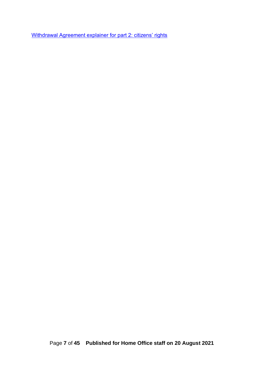[Withdrawal Agreement explainer for part 2: citizens' rights](https://www.gov.uk/government/publications/withdrawal-agreement-explainer-for-part-2-citizens-rights)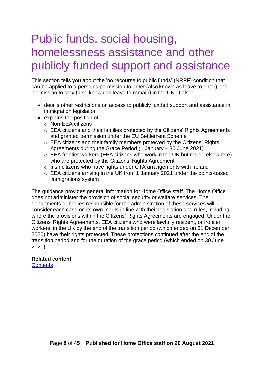## <span id="page-7-0"></span>Public funds, social housing, homelessness assistance and other publicly funded support and assistance

This section tells you about the 'no recourse to public funds' (NRPF) condition that can be applied to a person's permission to enter (also known as leave to enter) and permission to stay (also known as leave to remain) in the UK. It also:

- details other restrictions on access to publicly funded support and assistance in immigration legislation
- explains the position of:
	- o Non-EEA citizens
	- o EEA citizens and their families protected by the Citizens' Rights Agreements and granted permission under the EU Settlement Scheme
	- o EEA citizens and their family members protected by the Citizens' Rights Agreements during the Grace Period (1 January – 30 June 2021)
	- o EEA frontier workers (EEA citizens who work in the UK but reside elsewhere) who are protected by the Citizens' Rights Agreement
	- $\circ$  Irish citizens who have rights under CTA arrangements with Ireland
	- o EEA citizens arriving in the UK from 1 January 2021 under the points-based immigrations system

The guidance provides general information for Home Office staff. The Home Office does not administer the provision of social security or welfare services. The departments or bodies responsible for the administration of these services will consider each case on its own merits in line with their legislation and rules, including where the provisions within the Citizens' Rights Agreements are engaged. Under the Citizens' Rights Agreements, EEA citizens who were lawfully resident, or frontier workers, in the UK by the end of the transition period (which ended on 31 December 2020) have their rights protected. These protections continued after the end of the transition period and for the duration of the grace period (which ended on 30 June 2021).

### **Related content**

**[Contents](#page-1-0)**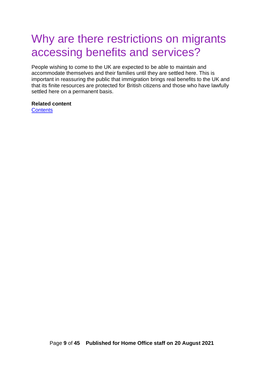### <span id="page-8-0"></span>Why are there restrictions on migrants accessing benefits and services?

People wishing to come to the UK are expected to be able to maintain and accommodate themselves and their families until they are settled here. This is important in reassuring the public that immigration brings real benefits to the UK and that its finite resources are protected for British citizens and those who have lawfully settled here on a permanent basis.

### **Related content**

**[Contents](#page-1-0)**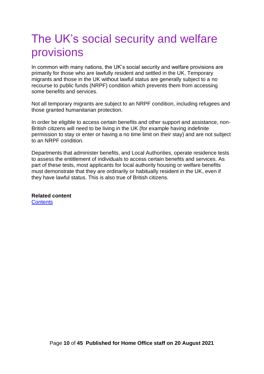## <span id="page-9-0"></span>The UK's social security and welfare provisions

In common with many nations, the UK's social security and welfare provisions are primarily for those who are lawfully resident and settled in the UK. Temporary migrants and those in the UK without lawful status are generally subject to a no recourse to public funds (NRPF) condition which prevents them from accessing some benefits and services.

Not all temporary migrants are subject to an NRPF condition, including refugees and those granted humanitarian protection.

In order be eligible to access certain benefits and other support and assistance, non-British citizens will need to be living in the UK (for example having indefinite permission to stay or enter or having a no time limit on their stay) and are not subject to an NRPF condition.

Departments that administer benefits, and Local Authorities, operate residence tests to assess the entitlement of individuals to access certain benefits and services. As part of these tests, most applicants for local authority housing or welfare benefits must demonstrate that they are ordinarily or habitually resident in the UK, even if they have lawful status. This is also true of British citizens.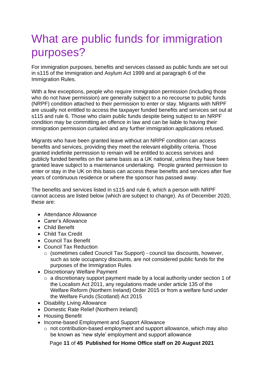## <span id="page-10-0"></span>What are public funds for immigration purposes?

For immigration purposes, benefits and services classed as public funds are set out in s115 of the Immigration and Asylum Act 1999 and at paragraph 6 of the Immigration Rules.

With a few exceptions, people who require immigration permission (including those who do not have permission) are generally subject to a no recourse to public funds (NRPF) condition attached to their permission to enter or stay. Migrants with NRPF are usually not entitled to access the taxpayer funded benefits and services set out at s115 and rule 6. Those who claim public funds despite being subject to an NRPF condition may be committing an offence in law and can be liable to having their immigration permission curtailed and any further immigration applications refused.

Migrants who have been granted leave without an NRPF condition can access benefits and services, providing they meet the relevant eligibility criteria. Those granted indefinite permission to remain will be entitled to access services and publicly funded benefits on the same basis as a UK national, unless they have been granted leave subject to a maintenance undertaking. People granted permission to enter or stay in the UK on this basis can access these benefits and services after five years of continuous residence or where the sponsor has passed away.

The benefits and services listed in s115 and rule 6, which a person with NRPF cannot access are listed below (which are subject to change). As of December 2020, these are:

- Attendance Allowance
- Carer's Allowance
- Child Benefit
- Child Tax Credit
- Council Tax Benefit
- Council Tax Reduction
	- o (sometimes called Council Tax Support) council tax discounts, however, such as sole occupancy discounts, are not considered public funds for the purposes of the Immigration Rules
- Discretionary Welfare Payment
	- o a discretionary support payment made by a local authority under section 1 of the Localism Act 2011, any regulations made under article 135 of the Welfare Reform (Northern Ireland) Order 2015 or from a welfare fund under the Welfare Funds (Scotland) Act 2015
- Disability Living Allowance
- Domestic Rate Relief (Northern Ireland)
- Housing Benefit
- Income-based Employment and Support Allowance
	- o not contribution-based employment and support allowance, which may also be known as 'new style' employment and support allowance

Page **11** of **45 Published for Home Office staff on 20 August 2021**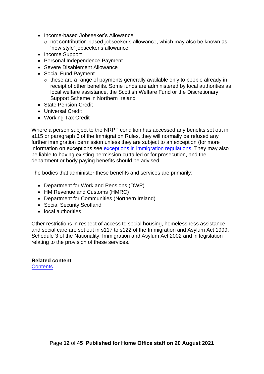- Income-based Jobseeker's Allowance
	- o not contribution-based jobseeker's allowance, which may also be known as 'new style' jobseeker's allowance
- Income Support
- Personal Independence Payment
- Severe Disablement Allowance
- Social Fund Payment
	- o these are a range of payments generally available only to people already in receipt of other benefits. Some funds are administered by local authorities as local welfare assistance, the Scottish Welfare Fund or the Discretionary Support Scheme in Northern Ireland
- State Pension Credit
- Universal Credit
- Working Tax Credit

Where a person subject to the NRPF condition has accessed any benefits set out in s115 or paragraph 6 of the Immigration Rules, they will normally be refused any further immigration permission unless they are subject to an exception (for more information on exceptions see [exceptions in immigration regulations.](#page-16-0) They may also be liable to having existing permission curtailed or for prosecution, and the department or body paying benefits should be advised.

The bodies that administer these benefits and services are primarily:

- Department for Work and Pensions (DWP)
- HM Revenue and Customs (HMRC)
- Department for Communities (Northern Ireland)
- Social Security Scotland
- local authorities

Other restrictions in respect of access to social housing, homelessness assistance and social care are set out in s117 to s122 of the Immigration and Asylum Act 1999, Schedule 3 of the Nationality, Immigration and Asylum Act 2002 and in legislation relating to the provision of these services.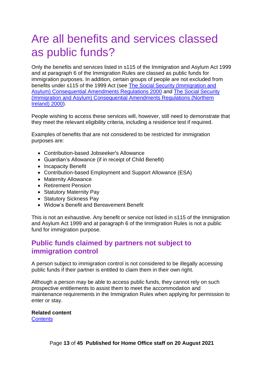## <span id="page-12-0"></span>Are all benefits and services classed as public funds?

Only the benefits and services listed in s115 of the Immigration and Asylum Act 1999 and at paragraph 6 of the Immigration Rules are classed as public funds for immigration purposes. In addition, certain groups of people are not excluded from benefits under s115 of the 1999 Act (see [The Social Security \(Immigration and](https://www.legislation.gov.uk/uksi/2000/636/contents/made)  [Asylum\) Consequential Amendments Regulations 2000](https://www.legislation.gov.uk/uksi/2000/636/contents/made) and [The Social Security](https://www.legislation.gov.uk/nisr/2000/71/contents/made)  [\(Immigration and Asylum\) Consequential Amendments Regulations \(Northern](https://www.legislation.gov.uk/nisr/2000/71/contents/made)  [Ireland\) 2000\)](https://www.legislation.gov.uk/nisr/2000/71/contents/made).

People wishing to access these services will, however, still need to demonstrate that they meet the relevant eligibility criteria, including a residence test if required.

Examples of benefits that are not considered to be restricted for immigration purposes are:

- Contribution-based Jobseeker's Allowance
- Guardian's Allowance (if in receipt of Child Benefit)
- Incapacity Benefit
- Contribution-based Employment and Support Allowance (ESA)
- Maternity Allowance
- Retirement Pension
- Statutory Maternity Pay
- Statutory Sickness Pay
- Widow's Benefit and Bereavement Benefit

This is not an exhaustive. Any benefit or service not listed in s115 of the Immigration and Asylum Act 1999 and at paragraph 6 of the Immigration Rules is not a public fund for immigration purpose.

#### <span id="page-12-1"></span>**Public funds claimed by partners not subject to immigration control**

A person subject to immigration control is not considered to be illegally accessing public funds if their partner is entitled to claim them in their own right.

Although a person may be able to access public funds, they cannot rely on such prospective entitlements to assist them to meet the accommodation and maintenance requirements in the Immigration Rules when applying for permission to enter or stay.

### **Related content**

**[Contents](#page-1-0)**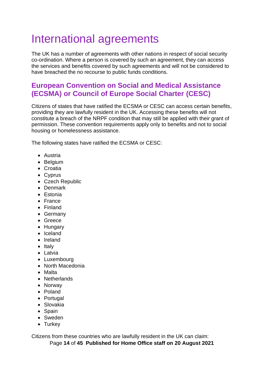## <span id="page-13-0"></span>International agreements

The UK has a number of agreements with other nations in respect of social security co-ordination. Where a person is covered by such an agreement, they can access the services and benefits covered by such agreements and will not be considered to have breached the no recourse to public funds conditions.

### <span id="page-13-1"></span>**European Convention on Social and Medical Assistance (ECSMA) or Council of Europe Social Charter (CESC)**

Citizens of states that have ratified the ECSMA or CESC can access certain benefits, providing they are lawfully resident in the UK. Accessing these benefits will not constitute a breach of the NRPF condition that may still be applied with their grant of permission. These convention requirements apply only to benefits and not to social housing or homelessness assistance.

The following states have ratified the ECSMA or CESC:

- Austria
- Belgium
- Croatia
- Cyprus
- Czech Republic
- Denmark
- Estonia
- France
- Finland
- Germany
- Greece
- Hungary
- Iceland
- Ireland
- Italy
- Latvia
- Luxembourg
- North Macedonia
- Malta
- Netherlands
- Norway
- Poland
- Portugal
- Slovakia
- Spain
- Sweden
- Turkey

Page **14** of **45 Published for Home Office staff on 20 August 2021** Citizens from these countries who are lawfully resident in the UK can claim: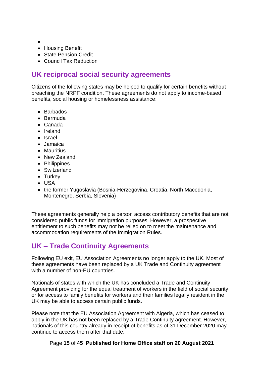- •
- Housing Benefit
- State Pension Credit
- Council Tax Reduction

### <span id="page-14-0"></span>**UK reciprocal social security agreements**

Citizens of the following states may be helped to qualify for certain benefits without breaching the NRPF condition. These agreements do not apply to income-based benefits, social housing or homelessness assistance:

- Barbados
- Bermuda
- Canada
- Ireland
- Israel
- Jamaica
- Mauritius
- New Zealand
- Philippines
- Switzerland
- Turkey
- USA
- the former Yugoslavia (Bosnia-Herzegovina, Croatia, North Macedonia, Montenegro, Serbia, Slovenia)

These agreements generally help a person access contributory benefits that are not considered public funds for immigration purposes. However, a prospective entitlement to such benefits may not be relied on to meet the maintenance and accommodation requirements of the Immigration Rules.

### <span id="page-14-1"></span>**UK – Trade Continuity Agreements**

Following EU exit, EU Association Agreements no longer apply to the UK. Most of these agreements have been replaced by a UK Trade and Continuity agreement with a number of non-FU countries.

Nationals of states with which the UK has concluded a Trade and Continuity Agreement providing for the equal treatment of workers in the field of social security, or for access to family benefits for workers and their families legally resident in the UK may be able to access certain public funds.

Please note that the EU Association Agreement with Algeria, which has ceased to apply in the UK has not been replaced by a Trade Continuity agreement. However, nationals of this country already in receipt of benefits as of 31 December 2020 may continue to access them after that date.

Page **15** of **45 Published for Home Office staff on 20 August 2021**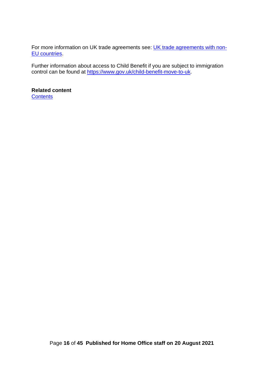For more information on UK trade agreements see: [UK trade agreements with non-](https://www.gov.uk/guidance/uk-trade-agreements-with-non-eu-countries)[EU countries.](https://www.gov.uk/guidance/uk-trade-agreements-with-non-eu-countries)

Further information about access to Child Benefit if you are subject to immigration control can be found at [https://www.gov.uk/child-benefit-move-to-uk.](https://www.gov.uk/child-benefit-move-to-uk)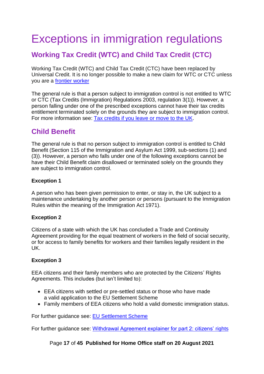## <span id="page-16-0"></span>Exceptions in immigration regulations

### <span id="page-16-1"></span>**Working Tax Credit (WTC) and Child Tax Credit (CTC)**

Working Tax Credit (WTC) and Child Tax Credit (CTC) have been replaced by Universal Credit. It is no longer possible to make a new claim for WTC or CTC unless you are a [frontier worker](#page-33-0)

The general rule is that a person subject to immigration control is not entitled to WTC or CTC (Tax Credits (Immigration) Regulations 2003, regulation 3(1)). However, a person falling under one of the prescribed exceptions cannot have their tax credits entitlement terminated solely on the grounds they are subject to immigration control. For more information see: [Tax credits if you leave or move to the UK.](https://www.gov.uk/tax-credits-if-moving-country-or-travelling/immigration-control)

### <span id="page-16-2"></span>**Child Benefit**

The general rule is that no person subject to immigration control is entitled to Child Benefit (Section 115 of the Immigration and Asylum Act 1999, sub-sections (1) and (3)). However, a person who falls under one of the following exceptions cannot be have their Child Benefit claim disallowed or terminated solely on the grounds they are subject to immigration control.

#### **Exception 1**

A person who has been given permission to enter, or stay in, the UK subject to a maintenance undertaking by another person or persons (pursuant to the Immigration Rules within the meaning of the Immigration Act 1971).

#### **Exception 2**

Citizens of a state with which the UK has concluded a Trade and Continuity Agreement providing for the equal treatment of workers in the field of social security, or for access to family benefits for workers and their families legally resident in the UK.

#### **Exception 3**

EEA citizens and their family members who are protected by the Citizens' Rights Agreements. This includes (but isn't limited to):

- EEA citizens with settled or pre-settled status or those who have made a valid application to the EU Settlement Scheme
- Family members of EEA citizens who hold a valid domestic immigration status.

For further guidance see: [EU Settlement Scheme](https://www.gov.uk/settled-status-eu-citizens-families)

For further guidance see: [Withdrawal Agreement explainer for part 2: citizens'](https://www.gov.uk/government/publications/withdrawal-agreement-explainer-for-part-2-citizens-rights) rights

Page **17** of **45 Published for Home Office staff on 20 August 2021**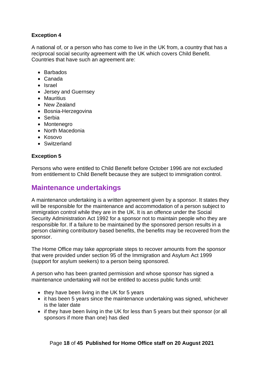#### **Exception 4**

A national of, or a person who has come to live in the UK from, a country that has a reciprocal social security agreement with the UK which covers Child Benefit. Countries that have such an agreement are:

- Barbados
- Canada
- Israel
- Jersey and Guernsey
- Mauritius
- New Zealand
- Bosnia-Herzegovina
- Serbia
- Montenegro
- North Macedonia
- Kosovo
- Switzerland

#### **Exception 5**

Persons who were entitled to Child Benefit before October 1996 are not excluded from entitlement to Child Benefit because they are subject to immigration control.

#### <span id="page-17-0"></span>**Maintenance undertakings**

A maintenance undertaking is a written agreement given by a sponsor. It states they will be responsible for the maintenance and accommodation of a person subject to immigration control while they are in the UK. It is an offence under the Social Security Administration Act 1992 for a sponsor not to maintain people who they are responsible for. If a failure to be maintained by the sponsored person results in a person claiming contributory based benefits, the benefits may be recovered from the sponsor.

The Home Office may take appropriate steps to recover amounts from the sponsor that were provided under section 95 of the Immigration and Asylum Act 1999 (support for asylum seekers) to a person being sponsored.

A person who has been granted permission and whose sponsor has signed a maintenance undertaking will not be entitled to access public funds until:

- they have been living in the UK for 5 years
- it has been 5 years since the maintenance undertaking was signed, whichever is the later date
- if they have been living in the UK for less than 5 years but their sponsor (or all sponsors if more than one) has died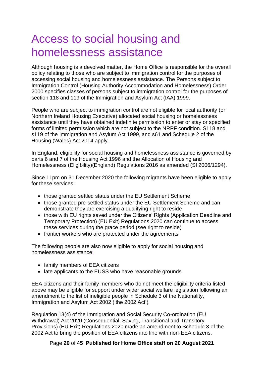## <span id="page-19-0"></span>Access to social housing and homelessness assistance

Although housing is a devolved matter, the Home Office is responsible for the overall policy relating to those who are subject to immigration control for the purposes of accessing social housing and homelessness assistance. The Persons subject to Immigration Control (Housing Authority Accommodation and Homelessness) Order 2000 specifies classes of persons subject to immigration control for the purposes of section 118 and 119 of the Immigration and Asylum Act (IAA) 1999.

People who are subject to immigration control are not eligible for local authority (or Northern Ireland Housing Executive) allocated social housing or homelessness assistance until they have obtained indefinite permission to enter or stay or specified forms of limited permission which are not subject to the NRPF condition. S118 and s119 of the Immigration and Asylum Act 1999, and s61 and Schedule 2 of the Housing (Wales) Act 2014 apply.

In England, eligibility for social housing and homelessness assistance is governed by parts 6 and 7 of the Housing Act 1996 and the Allocation of Housing and Homelessness (Eligibility)(England) Regulations 2016 as amended (SI 2006/1294).

Since 11pm on 31 December 2020 the following migrants have been eligible to apply for these services:

- those granted settled status under the EU Settlement Scheme
- those granted pre-settled status under the EU Settlement Scheme and can demonstrate they are exercising a qualifying right to reside
- those with EU rights saved under the Citizens' Rights (Application Deadline and Temporary Protection) (EU Exit) Regulations 2020 can continue to access these services during the grace period (see right to reside)
- frontier workers who are protected under the agreements

The following people are also now eligible to apply for social housing and homelessness assistance:

- family members of EEA citizens
- late applicants to the EUSS who have reasonable grounds

EEA citizens and their family members who do not meet the eligibility criteria listed above may be eligible for support under wider social welfare legislation following an amendment to the list of ineligible people in Schedule 3 of the Nationality, Immigration and Asylum Act 2002 ('the 2002 Act').

Regulation 13(4) of the Immigration and Social Security Co-ordination (EU Withdrawal) Act 2020 (Consequential, Saving, Transitional and Transitory Provisions) (EU Exit) Regulations 2020 made an amendment to Schedule 3 of the 2002 Act to bring the position of EEA citizens into line with non-EEA citizens.

#### Page **20** of **45 Published for Home Office staff on 20 August 2021**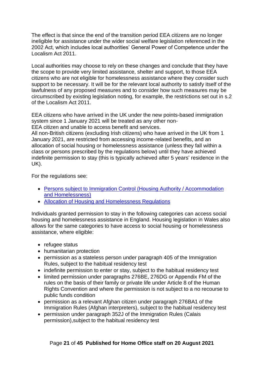The effect is that since the end of the transition period EEA citizens are no longer ineligible for assistance under the wider social welfare legislation referenced in the 2002 Act, which includes local authorities' General Power of Competence under the Localism Act 2011.

Local authorities may choose to rely on these changes and conclude that they have the scope to provide very limited assistance, shelter and support, to those EEA citizens who are not eligible for homelessness assistance where they consider such support to be necessary. It will be for the relevant local authority to satisfy itself of the lawfulness of any proposed measures and to consider how such measures may be circumscribed by existing legislation noting, for example, the restrictions set out in s.2 of the Localism Act 2011.

EEA citizens who have arrived in the UK under the new points-based immigration system since 1 January 2021 will be treated as any other non-EEA citizen and unable to access benefit and services.

All non-British citizens (excluding Irish citizens) who have arrived in the UK from 1 January 2021, are restricted from accessing income-related benefits, and an allocation of social housing or homelessness assistance (unless they fall within a class or persons prescribed by the regulations below) until they have achieved indefinite permission to stay (this is typically achieved after 5 years' residence in the UK).

For the regulations see:

- Persons subject to Immigration Control (Housing Authority / Accommodation [and Homelessness\)](https://www.legislation.gov.uk/primary+secondary?title=persons%20subject%20to%20immigration%20control)
- [Allocation of Housing and Homelessness Regulations](https://www.legislation.gov.uk/primary+secondary?title=allocation%20housing)

Individuals granted permission to stay in the following categories can access social housing and homelessness assistance in England. Housing legislation in Wales also allows for the same categories to have access to social housing or homelessness assistance, where eligible:

- refugee status
- humanitarian protection
- permission as a stateless person under paragraph 405 of the Immigration Rules, subject to the habitual residency test
- indefinite permission to enter or stay, subject to the habitual residency test
- limited permission under paragraphs 276BE, 276DG or Appendix FM of the rules on the basis of their family or private life under Article 8 of the Human Rights Convention and where the permission is not subject to a no recourse to public funds condition
- permission as a relevant Afghan citizen under paragraph 276BA1 of the Immigration Rules (Afghan interpreters), subject to the habitual residency test
- permission under paragraph 352J of the Immigration Rules (Calais permission),subject to the habitual residency test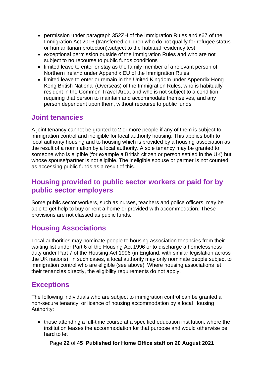- permission under paragraph 352ZH of the Immigration Rules and s67 of the Immigration Act 2016 (transferred children who do not qualify for refugee status or humanitarian protection),subject to the habitual residency test
- exceptional permission outside of the Immigration Rules and who are not subject to no recourse to public funds conditions
- limited leave to enter or stay as the family member of a relevant person of Northern Ireland under Appendix EU of the Immigration Rules
- limited leave to enter or remain in the United Kingdom under Appendix Hong Kong British National (Overseas) of the Immigration Rules, who is habitually resident in the Common Travel Area, and who is not subject to a condition requiring that person to maintain and accommodate themselves, and any person dependent upon them, without recourse to public funds

### <span id="page-21-0"></span>**Joint tenancies**

A joint tenancy cannot be granted to 2 or more people if any of them is subject to immigration control and ineligible for local authority housing. This applies both to local authority housing and to housing which is provided by a housing association as the result of a nomination by a local authority. A sole tenancy may be granted to someone who is eligible (for example a British citizen or person settled in the UK) but whose spouse/partner is not eligible. The ineligible spouse or partner is not counted as accessing public funds as a result of this.

#### <span id="page-21-1"></span>**Housing provided to public sector workers or paid for by public sector employers**

Some public sector workers, such as nurses, teachers and police officers, may be able to get help to buy or rent a home or provided with accommodation. These provisions are not classed as public funds.

### <span id="page-21-2"></span>**Housing Associations**

Local authorities may nominate people to housing association tenancies from their waiting list under Part 6 of the Housing Act 1996 or to discharge a homelessness duty under Part 7 of the Housing Act 1996 (in England, with similar legislation across the UK nations). In such cases, a local authority may only nominate people subject to immigration control who are eligible (see above). Where housing associations let their tenancies directly, the eligibility requirements do not apply.

#### <span id="page-21-3"></span>**Exceptions**

The following individuals who are subject to immigration control can be granted a non-secure tenancy, or licence of housing accommodation by a local Housing Authority:

• those attending a full-time course at a specified education institution, where the institution leases the accommodation for that purpose and would otherwise be hard to let

Page **22** of **45 Published for Home Office staff on 20 August 2021**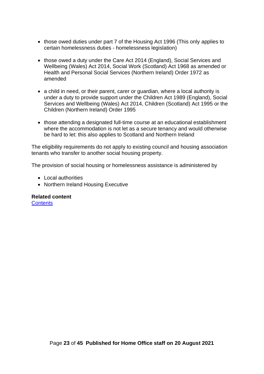- those owed duties under part 7 of the Housing Act 1996 (This only applies to certain homelessness duties - homelessness legislation)
- those owed a duty under the Care Act 2014 (England), Social Services and Wellbeing (Wales) Act 2014, Social Work (Scotland) Act 1968 as amended or Health and Personal Social Services (Northern Ireland) Order 1972 as amended
- a child in need, or their parent, carer or guardian, where a local authority is under a duty to provide support under the Children Act 1989 (England), Social Services and Wellbeing (Wales) Act 2014, Children (Scotland) Act 1995 or the Children (Northern Ireland) Order 1995
- those attending a designated full-time course at an educational establishment where the accommodation is not let as a secure tenancy and would otherwise be hard to let: this also applies to Scotland and Northern Ireland

The eligibility requirements do not apply to existing council and housing association tenants who transfer to another social housing property.

The provision of social housing or homelessness assistance is administered by

- Local authorities
- Northern Ireland Housing Executive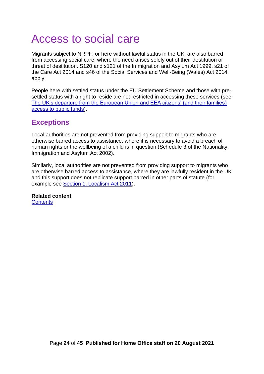## <span id="page-23-0"></span>Access to social care

Migrants subject to NRPF, or here without lawful status in the UK, are also barred from accessing social care, where the need arises solely out of their destitution or threat of destitution. S120 and s121 of the Immigration and Asylum Act 1999, s21 of the Care Act 2014 and s46 of the Social Services and Well-Being (Wales) Act 2014 apply.

People here with settled status under the EU Settlement Scheme and those with presettled status with a right to reside are not restricted in accessing these services (see [The UK's departure from the European Union and EEA citizens' \(and their families\)](#page-26-0)  [access to public funds\)](#page-26-0).

### <span id="page-23-1"></span>**Exceptions**

Local authorities are not prevented from providing support to migrants who are otherwise barred access to assistance, where it is necessary to avoid a breach of human rights or the wellbeing of a child is in question (Schedule 3 of the Nationality, Immigration and Asylum Act 2002).

Similarly, local authorities are not prevented from providing support to migrants who are otherwise barred access to assistance, where they are lawfully resident in the UK and this support does not replicate support barred in other parts of statute (for example see [Section 1, Localism Act 2011\)](https://www.legislation.gov.uk/ukpga/2011/20/section/1#:~:text=Localism%20Act%202011%2C%20Section%201%20is%20up%20to,in%20the%20content%20and%20are%20referenced%20with%20annotations.).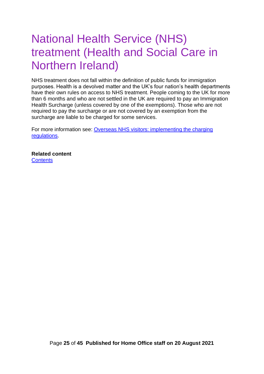## <span id="page-24-0"></span>National Health Service (NHS) treatment (Health and Social Care in Northern Ireland)

NHS treatment does not fall within the definition of public funds for immigration purposes. Health is a devolved matter and the UK's four nation's health departments have their own rules on access to NHS treatment. People coming to the UK for more than 6 months and who are not settled in the UK are required to pay an Immigration Health Surcharge (unless covered by one of the exemptions). Those who are not required to pay the surcharge or are not covered by an exemption from the surcharge are liable to be charged for some services.

For more information see: [Overseas NHS visitors: implementing the charging](https://www.gov.uk/government/publications/overseas-nhs-visitors-implementing-the-charging-regulations)  [regulations.](https://www.gov.uk/government/publications/overseas-nhs-visitors-implementing-the-charging-regulations)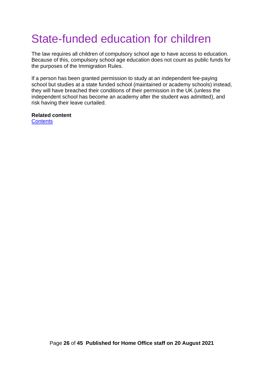# <span id="page-25-0"></span>State-funded education for children

The law requires all children of compulsory school age to have access to education. Because of this, compulsory school age education does not count as public funds for the purposes of the Immigration Rules.

If a person has been granted permission to study at an independent fee-paying school but studies at a state funded school (maintained or academy schools) instead, they will have breached their conditions of their permission in the UK (unless the independent school has become an academy after the student was admitted), and risk having their leave curtailed.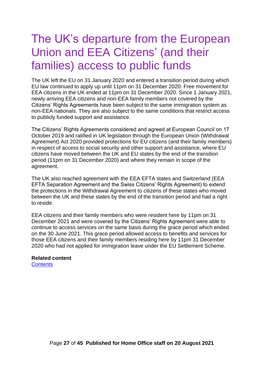## <span id="page-26-0"></span>The UK's departure from the European Union and EEA Citizens' (and their families) access to public funds

The UK left the EU on 31 January 2020 and entered a transition period during which EU law continued to apply up until 11pm on 31 December 2020. Free movement for EEA citizens in the UK ended at 11pm on 31 December 2020. Since 1 January 2021, newly arriving EEA citizens and non-EEA family members not covered by the Citizens' Rights Agreements have been subject to the same immigration system as non-EEA nationals. They are also subject to the same conditions that restrict access to publicly funded support and assistance.

The Citizens' Rights Agreements considered and agreed at European Council on 17 October 2019 and ratified in UK legislation through the European Union (Withdrawal Agreement) Act 2020 provided protections for EU citizens (and their family members) in respect of access to social security and other support and assistance, where EU citizens have moved between the UK and EU states by the end of the transition period (11pm on 31 December 2020) and where they remain in scope of the agreement.

The UK also reached agreement with the EEA EFTA states and Switzerland (EEA EFTA Separation Agreement and the Swiss Citizens' Rights Agreement) to extend the protections in the Withdrawal Agreement to citizens of these states who moved between the UK and these states by the end of the transition period and had a right to reside.

EEA citizens and their family members who were resident here by 11pm on 31 December 2021 and were covered by the Citizens' Rights Agreement were able to continue to access services on the same basis during the grace period which ended on the 30 June 2021. This grace period allowed access to benefits and services for those EEA citizens and their family members residing here by 11pm 31 December 2020 who had not applied for immigration leave under the EU Settlement Scheme.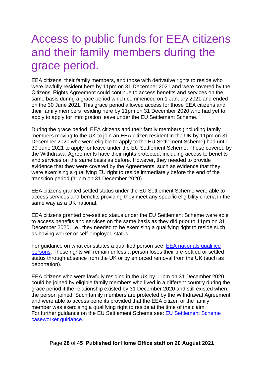## <span id="page-27-0"></span>Access to public funds for EEA citizens and their family members during the grace period.

EEA citizens, their family members, and those with derivative rights to reside who were lawfully resident here by 11pm on 31 December 2021 and were covered by the Citizens' Rights Agreement could continue to access benefits and services on the same basis during a grace period which commenced on 1 January 2021 and ended on the 30 June 2021. This grace period allowed access for those EEA citizens and their family members residing here by 11pm on 31 December 2020 who had yet to apply to apply for immigration leave under the EU Settlement Scheme.

During the grace period, EEA citizens and their family members (including family members moving to the UK to join an EEA citizen resident in the UK by 11pm on 31 December 2020 who were eligible to apply to the EU Settlement Scheme) had until 30 June 2021 to apply for leave under the EU Settlement Scheme. Those covered by the Withdrawal Agreements have their rights protected, including access to benefits and services on the same basis as before. However, they needed to provide evidence that they were covered by the Agreements, such as evidence that they were exercising a qualifying EU right to reside immediately before the end of the transition period (11pm on 31 December 2020).

EEA citizens granted settled status under the EU Settlement Scheme were able to access services and benefits providing they meet any specific eligibility criteria in the same way as a UK national.

EEA citizens granted pre-settled status under the EU Settlement Scheme were able to access benefits and services on the same basis as they did prior to 11pm on 31 December 2020, i.e., they needed to be exercising a qualifying right to reside such as having worker or self-employed status.

For guidance on what constitutes a qualified person see: [EEA nationals qualified](https://www.gov.uk/government/publications/european-economic-area-nationals-qualified-persons)  [persons.](https://www.gov.uk/government/publications/european-economic-area-nationals-qualified-persons) These rights will remain unless a person loses their pre-settled or settled status through absence from the UK or by enforced removal from the UK (such as deportation).

EEA citizens who were lawfully residing in the UK by 11pm on 31 December 2020 could be joined by eligible family members who lived in a different country during the grace period if the relationship existed by 31 December 2020 and still existed when the person joined. Such family members are protected by the Withdrawal Agreement and were able to access benefits provided that the EEA citizen or the family member was exercising a qualifying right to reside at the time of the claim. For further guidance on the EU Settlement Scheme see: [EU Settlement Scheme](https://www.gov.uk/government/publications/eu-settlement-scheme-caseworker-guidance)  [caseworker guidance.](https://www.gov.uk/government/publications/eu-settlement-scheme-caseworker-guidance)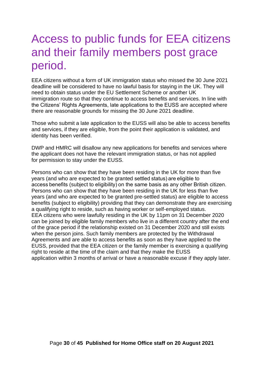## <span id="page-29-0"></span>Access to public funds for EEA citizens and their family members post grace period.

EEA citizens without a form of UK immigration status who missed the 30 June 2021 deadline will be considered to have no lawful basis for staying in the UK. They will need to obtain status under the EU Settlement Scheme or another UK immigration route so that they continue to access benefits and services. In line with the Citizens' Rights Agreements, late applications to the EUSS are accepted where there are reasonable grounds for missing the 30 June 2021 deadline.

Those who submit a late application to the EUSS will also be able to access benefits and services, if they are eligible, from the point their application is validated, and identity has been verified.

DWP and HMRC will disallow any new applications for benefits and services where the applicant does not have the relevant immigration status, or has not applied for permission to stay under the EUSS.

Persons who can show that they have been residing in the UK for more than five years (and who are expected to be granted settled status) are eligible to access benefits (subject to eligibility) on the same basis as any other British citizen. Persons who can show that they have been residing in the UK for less than five years (and who are expected to be granted pre-settled status) are eligible to access benefits (subject to eligibility) providing that they can demonstrate they are exercising a qualifying right to reside, such as having worker or self-employed status. EEA citizens who were lawfully residing in the UK by 11pm on 31 December 2020 can be joined by eligible family members who live in a different country after the end of the grace period if the relationship existed on 31 December 2020 and still exists when the person joins. Such family members are protected by the Withdrawal Agreements and are able to access benefits as soon as they have applied to the EUSS, provided that the EEA citizen or the family member is exercising a qualifying right to reside at the time of the claim and that they make the EUSS application within 3 months of arrival or have a reasonable excuse if they apply later.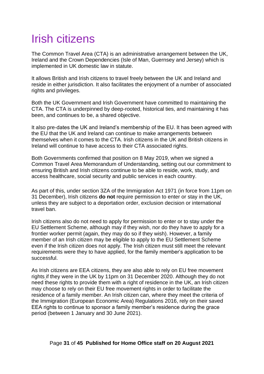# <span id="page-30-0"></span>Irish citizens

The Common Travel Area (CTA) is an administrative arrangement between the UK, Ireland and the Crown Dependencies (Isle of Man, Guernsey and Jersey) which is implemented in UK domestic law in statute.

It allows British and Irish citizens to travel freely between the UK and Ireland and reside in either jurisdiction. It also facilitates the enjoyment of a number of associated rights and privileges.

Both the UK Government and Irish Government have committed to maintaining the CTA. The CTA is underpinned by deep-rooted, historical ties, and maintaining it has been, and continues to be, a shared objective.

It also pre-dates the UK and Ireland's membership of the EU. It has been agreed with the EU that the UK and Ireland can continue to make arrangements between themselves when it comes to the CTA. Irish citizens in the UK and British citizens in Ireland will continue to have access to their CTA associated rights.

Both Governments confirmed that position on 8 May 2019, when we signed a Common Travel Area Memorandum of Understanding, setting out our commitment to ensuring British and Irish citizens continue to be able to reside, work, study, and access healthcare, social security and public services in each country.

As part of this, under section 3ZA of the Immigration Act 1971 (in force from 11pm on 31 December), Irish citizens **do not** require permission to enter or stay in the UK, unless they are subject to a deportation order, exclusion decision or international travel ban.

Irish citizens also do not need to apply for permission to enter or to stay under the EU Settlement Scheme, although may if they wish, nor do they have to apply for a frontier worker permit (again, they may do so if they wish). However, a family member of an Irish citizen may be eligible to apply to the EU Settlement Scheme even if the Irish citizen does not apply. The Irish citizen must still meet the relevant requirements were they to have applied, for the family member's application to be successful.

As Irish citizens are EEA citizens, they are also able to rely on EU free movement rights if they were in the UK by 11pm on 31 December 2020. Although they do not need these rights to provide them with a right of residence in the UK, an Irish citizen may choose to rely on their EU free movement rights in order to facilitate the residence of a family member. An Irish citizen can, where they meet the criteria of the Immigration (European Economic Area) Regulations 2016, rely on their saved EEA rights to continue to sponsor a family member's residence during the grace period (between 1 January and 30 June 2021).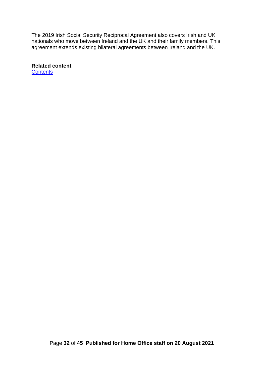The 2019 Irish Social Security Reciprocal Agreement also covers Irish and UK nationals who move between Ireland and the UK and their family members. This agreement extends existing bilateral agreements between Ireland and the UK.

**Related content [Contents](#page-1-0)** 

Page **32** of **45 Published for Home Office staff on 20 August 2021**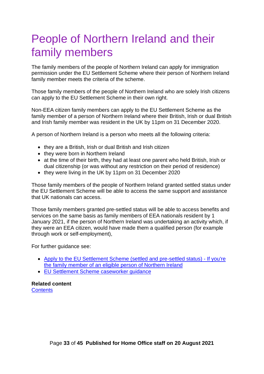## <span id="page-32-0"></span>People of Northern Ireland and their family members

The family members of the people of Northern Ireland can apply for immigration permission under the EU Settlement Scheme where their person of Northern Ireland family member meets the criteria of the scheme.

Those family members of the people of Northern Ireland who are solely Irish citizens can apply to the EU Settlement Scheme in their own right.

Non-EEA citizen family members can apply to the EU Settlement Scheme as the family member of a person of Northern Ireland where their British, Irish or dual British and Irish family member was resident in the UK by 11pm on 31 December 2020.

A person of Northern Ireland is a person who meets all the following criteria:

- they are a British, Irish or dual British and Irish citizen
- they were born in Northern Ireland
- at the time of their birth, they had at least one parent who held British, Irish or dual citizenship (or was without any restriction on their period of residence)
- they were living in the UK by 11pm on 31 December 2020

Those family members of the people of Northern Ireland granted settled status under the EU Settlement Scheme will be able to access the same support and assistance that UK nationals can access.

Those family members granted pre-settled status will be able to access benefits and services on the same basis as family members of EEA nationals resident by 1 January 2021, if the person of Northern Ireland was undertaking an activity which, if they were an EEA citizen, would have made them a qualified person (for example through work or self-employment),

For further guidance see:

- Apply to [the EU Settlement Scheme \(settled and pre-settled status\) -](https://www.gov.uk/settled-status-eu-citizens-families/family-member-eligible-person-from-northern-ireland) If you're [the family member of an eligible person of Northern Ireland](https://www.gov.uk/settled-status-eu-citizens-families/family-member-eligible-person-from-northern-ireland)
- [EU Settlement Scheme caseworker guidance](https://www.gov.uk/government/publications/eu-settlement-scheme-caseworker-guidance)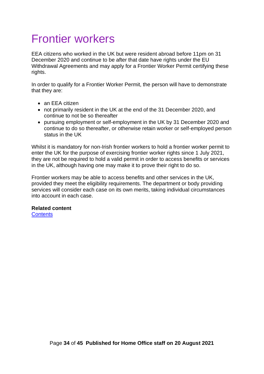## <span id="page-33-0"></span>Frontier workers

EEA citizens who worked in the UK but were resident abroad before 11pm on 31 December 2020 and continue to be after that date have rights under the EU Withdrawal Agreements and may apply for a Frontier Worker Permit certifying these rights.

In order to qualify for a Frontier Worker Permit, the person will have to demonstrate that they are:

- an EEA citizen
- not primarily resident in the UK at the end of the 31 December 2020, and continue to not be so thereafter
- pursuing employment or self-employment in the UK by 31 December 2020 and continue to do so thereafter, or otherwise retain worker or self-employed person status in the UK

Whilst it is mandatory for non-Irish frontier workers to hold a frontier worker permit to enter the UK for the purpose of exercising frontier worker rights since 1 July 2021, they are not be required to hold a valid permit in order to access benefits or services in the UK, although having one may make it to prove their right to do so.

Frontier workers may be able to access benefits and other services in the UK, provided they meet the eligibility requirements. The department or body providing services will consider each case on its own merits, taking individual circumstances into account in each case.

#### **Related content**

**[Contents](#page-1-0)**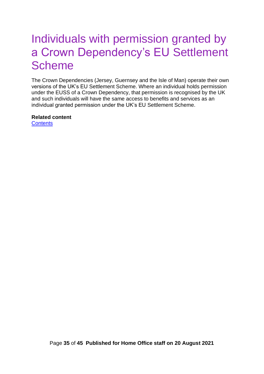## <span id="page-34-0"></span>Individuals with permission granted by a Crown Dependency's EU Settlement **Scheme**

The Crown Dependencies (Jersey, Guernsey and the Isle of Man) operate their own versions of the UK's EU Settlement Scheme. Where an individual holds permission under the EUSS of a Crown Dependency, that permission is recognised by the UK and such individuals will have the same access to benefits and services as an individual granted permission under the UK's EU Settlement Scheme.

#### **Related content**

**[Contents](#page-1-0)**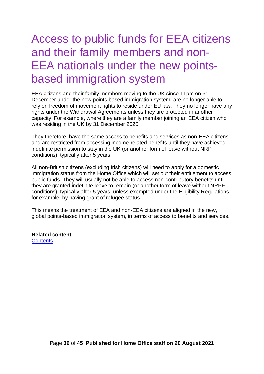## <span id="page-35-0"></span>Access to public funds for EEA citizens and their family members and non-EEA nationals under the new pointsbased immigration system

EEA citizens and their family members moving to the UK since 11pm on 31 December under the new points-based immigration system, are no longer able to rely on freedom of movement rights to reside under EU law. They no longer have any rights under the Withdrawal Agreements unless they are protected in another capacity. For example, where they are a family member joining an EEA citizen who was residing in the UK by 31 December 2020.

They therefore, have the same access to benefits and services as non-EEA citizens and are restricted from accessing income-related benefits until they have achieved indefinite permission to stay in the UK (or another form of leave without NRPF conditions), typically after 5 years.

All non-British citizens (excluding Irish citizens) will need to apply for a domestic immigration status from the Home Office which will set out their entitlement to access public funds. They will usually not be able to access non-contributory benefits until they are granted indefinite leave to remain (or another form of leave without NRPF conditions), typically after 5 years, unless exempted under the Eligibility Regulations, for example, by having grant of refugee status.

This means the treatment of EEA and non-EEA citizens are aligned in the new, global points-based immigration system, in terms of access to benefits and services.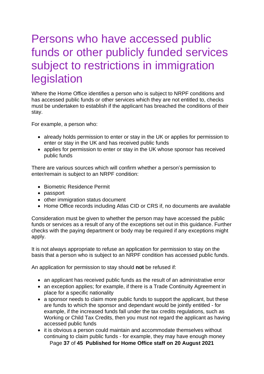## <span id="page-36-0"></span>Persons who have accessed public funds or other publicly funded services subject to restrictions in immigration legislation

Where the Home Office identifies a person who is subject to NRPF conditions and has accessed public funds or other services which they are not entitled to, checks must be undertaken to establish if the applicant has breached the conditions of their stay.

For example, a person who:

- already holds permission to enter or stay in the UK or applies for permission to enter or stay in the UK and has received public funds
- applies for permission to enter or stay in the UK whose sponsor has received public funds

There are various sources which will confirm whether a person's permission to enter/remain is subject to an NRPF condition:

- Biometric Residence Permit
- passport
- other immigration status document
- Home Office records including Atlas CID or CRS if, no documents are available

Consideration must be given to whether the person may have accessed the public funds or services as a result of any of the exceptions set out in this guidance. Further checks with the paying department or body may be required if any exceptions might apply.

It is not always appropriate to refuse an application for permission to stay on the basis that a person who is subject to an NRPF condition has accessed public funds.

An application for permission to stay should **not** be refused if:

- an applicant has received public funds as the result of an administrative error
- an exception applies; for example, if there is a Trade Continuity Agreement in place for a specific nationality
- a sponsor needs to claim more public funds to support the applicant, but these are funds to which the sponsor and dependant would be jointly entitled - for example, if the increased funds fall under the tax credits regulations, such as Working or Child Tax Credits, then you must not regard the applicant as having accessed public funds
- Page **37** of **45 Published for Home Office staff on 20 August 2021** • it is obvious a person could maintain and accommodate themselves without continuing to claim public funds - for example, they may have enough money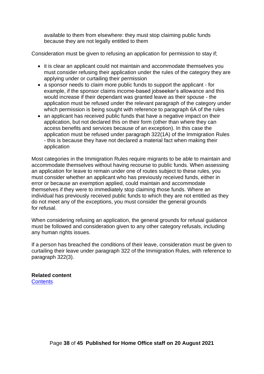available to them from elsewhere: they must stop claiming public funds because they are not legally entitled to them

Consideration must be given to refusing an application for permission to stay if;

- it is clear an applicant could not maintain and accommodate themselves you must consider refusing their application under the rules of the category they are applying under or curtailing their permission
- a sponsor needs to claim more public funds to support the applicant for example, if the sponsor claims income-based jobseeker's allowance and this would increase if their dependant was granted leave as their spouse - the application must be refused under the relevant paragraph of the category under which permission is being sought with reference to paragraph 6A of the rules
- an applicant has received public funds that have a negative impact on their application, but not declared this on their form (other than where they can access benefits and services because of an exception). In this case the application must be refused under paragraph 322(1A) of the Immigration Rules - this is because they have not declared a material fact when making their application

Most categories in the Immigration Rules require migrants to be able to maintain and accommodate themselves without having recourse to public funds. When assessing an application for leave to remain under one of routes subject to these rules, you must consider whether an applicant who has previously received funds, either in error or because an exemption applied, could maintain and accommodate themselves if they were to immediately stop claiming those funds. Where an individual has previously received public funds to which they are not entitled as they do not meet any of the exceptions, you must consider the general grounds for refusal.

When considering refusing an application, the general grounds for refusal guidance must be followed and consideration given to any other category refusals, including any human rights issues.

If a person has breached the conditions of their leave, consideration must be given to curtailing their leave under paragraph 322 of the Immigration Rules, with reference to paragraph 322(3).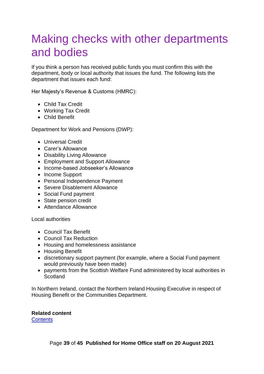## <span id="page-38-0"></span>Making checks with other departments and bodies

If you think a person has received public funds you must confirm this with the department, body or local authority that issues the fund. The following lists the department that issues each fund:

Her Majesty's Revenue & Customs (HMRC):

- Child Tax Credit
- Working Tax Credit
- Child Benefit

Department for Work and Pensions (DWP):

- Universal Credit
- Carer's Allowance
- Disability Living Allowance
- Employment and Support Allowance
- Income-based Jobseeker's Allowance
- Income Support
- Personal Independence Payment
- Severe Disablement Allowance
- Social Fund payment
- State pension credit
- Attendance Allowance

Local authorities

- Council Tax Benefit
- Council Tax Reduction
- Housing and homelessness assistance
- Housing Benefit
- discretionary support payment (for example, where a Social Fund payment would previously have been made)
- payments from the Scottish Welfare Fund administered by local authorities in **Scotland**

In Northern Ireland, contact the Northern Ireland Housing Executive in respect of Housing Benefit or the Communities Department.

#### **Related content**

**[Contents](#page-1-0)**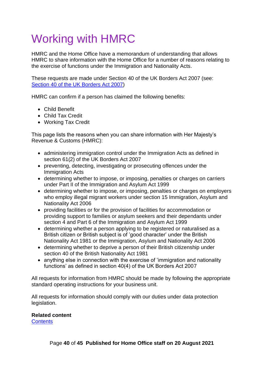# <span id="page-39-0"></span>Working with HMRC

HMRC and the Home Office have a memorandum of understanding that allows HMRC to share information with the Home Office for a number of reasons relating to the exercise of functions under the Immigration and Nationality Acts.

These requests are made under Section 40 of the UK Borders Act 2007 (see: [Section 40 of the UK Borders Act 2007\)](https://www.legislation.gov.uk/ukpga/2007/30/section/40#:~:text=UK%20Borders%20Act%202007%2C%20Section%2040%20is%20up,site%20may%20not%20be%20fully%20up%20to%20date.)

HMRC can confirm if a person has claimed the following benefits:

- Child Benefit
- Child Tax Credit
- Working Tax Credit

This page lists the reasons when you can share information with Her Majesty's Revenue & Customs (HMRC):

- administering immigration control under the Immigration Acts as defined in section 61(2) of the UK Borders Act 2007
- preventing, detecting, investigating or prosecuting offences under the Immigration Acts
- determining whether to impose, or imposing, penalties or charges on carriers under Part II of the Immigration and Asylum Act 1999
- determining whether to impose, or imposing, penalties or charges on employers who employ illegal migrant workers under section 15 Immigration, Asylum and Nationality Act 2006
- providing facilities or for the provision of facilities for accommodation or providing support to families or asylum seekers and their dependants under section 4 and Part 6 of the Immigration and Asylum Act 1999
- determining whether a person applying to be registered or naturalised as a British citizen or British subject is of 'good character' under the British Nationality Act 1981 or the Immigration, Asylum and Nationality Act 2006
- determining whether to deprive a person of their British citizenship under section 40 of the British Nationality Act 1981
- anything else in connection with the exercise of 'immigration and nationality functions' as defined in section 40(4) of the UK Borders Act 2007

All requests for information from HMRC should be made by following the appropriate standard operating instructions for your business unit.

All requests for information should comply with our duties under data protection legislation.

#### **Related content**

**[Contents](#page-1-0)**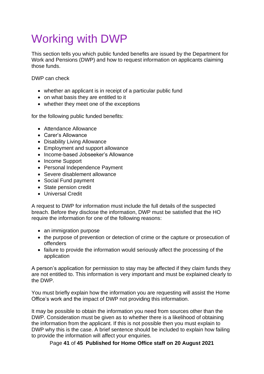# <span id="page-40-0"></span>Working with DWP

This section tells you which public funded benefits are issued by the Department for Work and Pensions (DWP) and how to request information on applicants claiming those funds.

DWP can check

- whether an applicant is in receipt of a particular public fund
- on what basis they are entitled to it
- whether they meet one of the exceptions

for the following public funded benefits:

- Attendance Allowance
- Carer's Allowance
- Disability Living Allowance
- Employment and support allowance
- Income-based Jobseeker's Allowance
- Income Support
- Personal Independence Payment
- Severe disablement allowance
- Social Fund payment
- State pension credit
- Universal Credit

A request to DWP for information must include the full details of the suspected breach. Before they disclose the information, DWP must be satisfied that the HO require the information for one of the following reasons:

- an immigration purpose
- the purpose of prevention or detection of crime or the capture or prosecution of offenders
- failure to provide the information would seriously affect the processing of the application

A person's application for permission to stay may be affected if they claim funds they are not entitled to. This information is very important and must be explained clearly to the DWP.

You must briefly explain how the information you are requesting will assist the Home Office's work and the impact of DWP not providing this information.

It may be possible to obtain the information you need from sources other than the DWP. Consideration must be given as to whether there is a likelihood of obtaining the information from the applicant. If this is not possible then you must explain to DWP why this is the case. A brief sentence should be included to explain how failing to provide the information will affect your enquiries.

Page **41** of **45 Published for Home Office staff on 20 August 2021**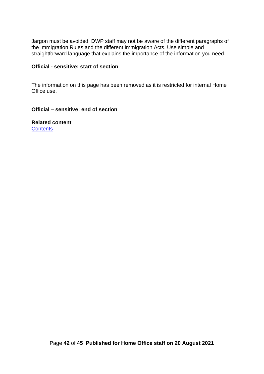Jargon must be avoided. DWP staff may not be aware of the different paragraphs of the Immigration Rules and the different Immigration Acts. Use simple and straightforward language that explains the importance of the information you need.

#### **Official - sensitive: start of section**

The information on this page has been removed as it is restricted for internal Home Office use.

#### **Official – sensitive: end of section**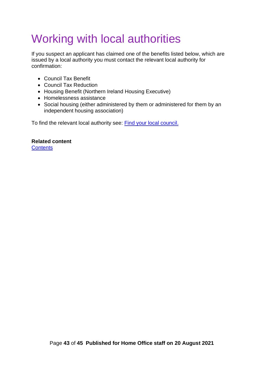# <span id="page-42-0"></span>Working with local authorities

If you suspect an applicant has claimed one of the benefits listed below, which are issued by a local authority you must contact the relevant local authority for confirmation:

- Council Tax Benefit
- Council Tax Reduction
- Housing Benefit (Northern Ireland Housing Executive)
- Homelessness assistance
- Social housing (either administered by them or administered for them by an independent housing association)

To find the relevant local authority see: Find [your local](https://www.gov.uk/find-local-council) council.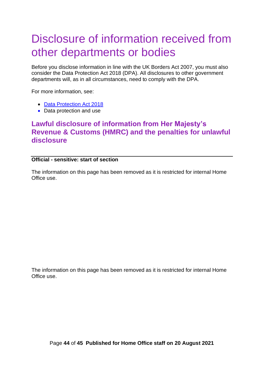## <span id="page-43-0"></span>Disclosure of information received from other departments or bodies

Before you disclose information in line with the UK Borders Act 2007, you must also consider the Data Protection Act 2018 (DPA). All disclosures to other government departments will, as in all circumstances, need to comply with the DPA.

For more information, see:

- [Data Protection Act 2018](https://www.legislation.gov.uk/ukpga/2018/12/contents/enacted)
- Data protection and use

#### <span id="page-43-1"></span>**Lawful disclosure of information from Her Majesty's Revenue & Customs (HMRC) and the penalties for unlawful disclosure**

#### **Official - sensitive: start of section**

The information on this page has been removed as it is restricted for internal Home Office use.

The information on this page has been removed as it is restricted for internal Home Office use.